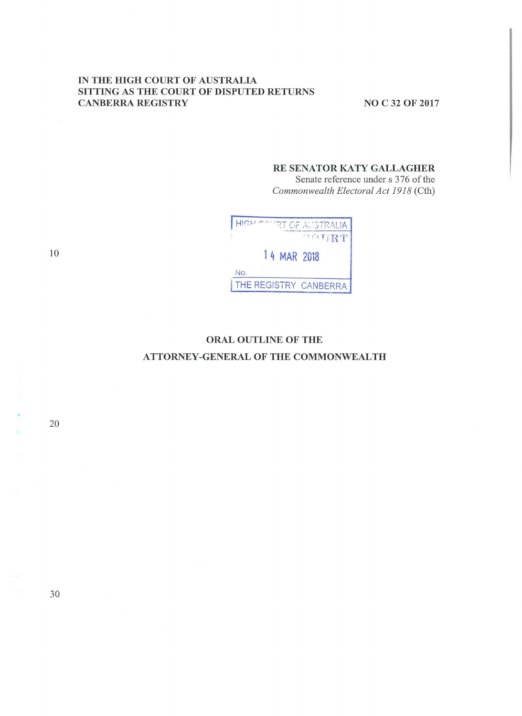#### IN THE HIGH COURT OF AUSTRALIA SITTING AS THE COURT OF DISPUTED RETURNS **CANBERRA REGISTRY**

**NO C 32 OF 2017** 

#### RE SENATOR KATY GALLAGHER

Senate reference under s 376 of the Commonwealth Electoral Act 1918 (Cth)

|     |             | <b><i>CURT OF AUSTRALIA</i></b> |
|-----|-------------|---------------------------------|
|     |             | OOURT                           |
|     | 14 MAR 2018 |                                 |
| No. |             |                                 |
|     |             | THE REGISTRY CANBERRA           |

# ORAL OUTLINE OF THE ATTORNEY-GENERAL OF THE COMMONWEALTH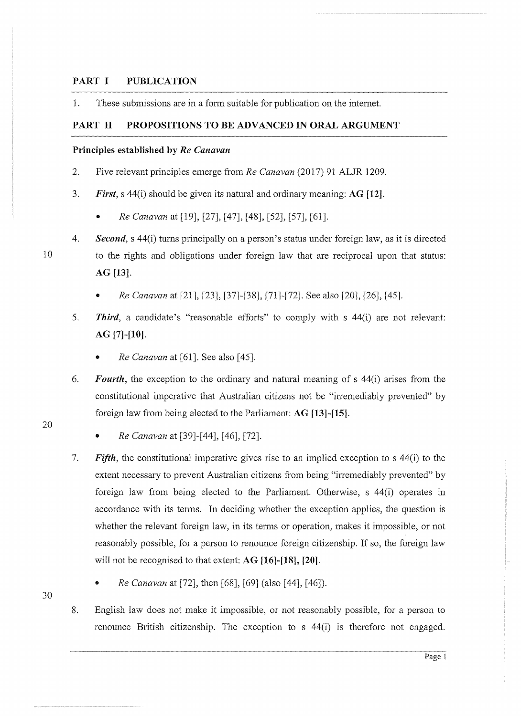### **PART I PUBLICATION**

1. These submissions are in a form suitable for publication on the intemet.

#### **PART 11 PROPOSITIONS TO BE ADVANCED IN ORAL ARGUMENT**

#### **Principles established by** *Re Canavan*

- 2. Five relevant principles emerge from *Re Canavan* (2017) 91 ALJR 1209.
- 3. *First,* s 44(i) should be given its natural and ordinary meaning: **AG [12].** 
	- *Re Canavan* at [19], [27], [47], [48], (52], [57], [61].
- 4. *Second,* s 44(i) turns principally on a person's status under foreign law, as it is directed to the rights and obligations under foreign law that are reciprocal upon that status: **AG [13].** 
	- *Re Canavan* at [21], [23], [37]-[38], [71]-[72]. See also [20], [26], [45].
- 5. *Third,* a candidate's "reasonable efforts" to comply with s 44(i) are not relevant: **AG [7]-[10].** 
	- *Re Canavan* at [61]. See also [45].
- 6. *Fourth,* the exception to the ordinary and natural meaning of s 44(i) arises from the constitutional imperative that Australian citizens not be "irremediably prevented" by foreign law from being elected to the Parliament: **AG [13]-[15].** 
	- *Re Canavan* at [39]-[44], [46], [72].
- 7. *Fifth,* the constitutional imperative gives rise to an implied exception to s 44(i) to the extent necessary to prevent Australian citizens from being "irremediably prevented" by foreign law from being elected to the Parliament. Otherwise, *s* 44(i) operates in accordance with its terms. In deciding whether the exception applies, the question is whether the relevant foreign law, in its terms or operation, makes it impossible, or not reasonably possible, for a person to renounce foreign citizenship. If so, the foreign law will not be recognised to that extent: **AG [16]-[18], [20].** 
	- *Re Canavan* at [72], then [68], [69] (also [44], [46]).
- 8. English law does not make it impossible, or not reasonably possible, for a person to renounce British citizenship. The exception to s 44(i) is therefore not engaged.

10

20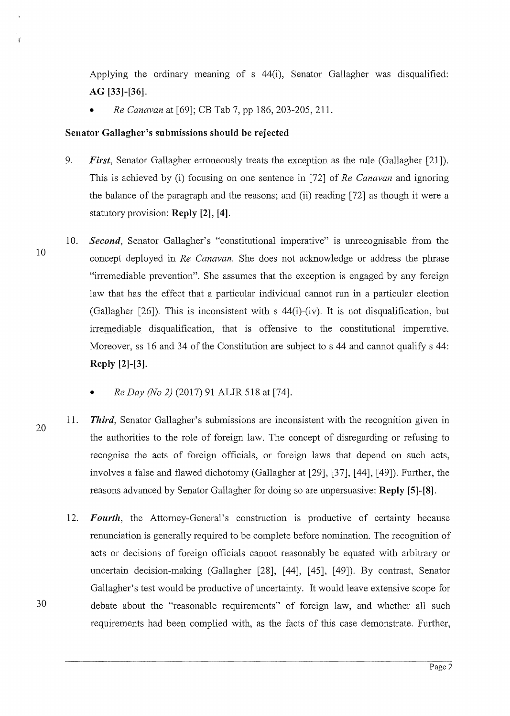Applying the ordinary meaning of  $s$  44(i), Senator Gallagher was disqualified: **AG [33]-[36].** 

• *Re Canavan* at [69]; CB Tab 7, pp 186, 203-205, 211.

### **Senator Gallagher's submissions should be rejected**

- 9. *First,* Senator Gallagher erroneously treats the exception as the rule (Gallagher [21]). This is achieved by (i) focusing on one sentence in [72] of *Re Canavan* and ignoring the balance of the paragraph and the reasons; and (ii) reading [72] as though it were a statutory provision: **Reply [2], [4].**
- 10. *Second,* Senator Gallagher's "constitutional imperative" is unrecognisable from the concept deployed in *Re Canavan.* She does not acknowledge or address the phrase "irremediable prevention". She assumes that the exception is engaged by any foreign law that has the effect that a particular individual cannot nm in a particular election (Gallagher [26]). This is inconsistent with s 44(i)-(iv). It is not disqualification, but irremediable disqualification, that is offensive to the constitutional imperative. Moreover, ss 16 and 34 of the Constitution are subject to s 44 and cannot qualify s 44: **Reply [2]-[3].** 
	- *Re Day (No 2)* (2017) 91 ALJR 518 at [74].
- 20 11. *Third,* Senator Gallagher's submissions are inconsistent with the recognition given in the authorities to the role of foreign law. The concept of disregarding or refusing to recognise the acts of foreign officials, or foreign laws that depend on such acts, involves a false and flawed dichotomy (Gallagher at [29], [37], [44], [49]). Further, the reasons advanced by Senator Gallagher for doing so are unpersuasive: **Reply [5]-[8].**
- 12. *Fourth,* the Attorney-General's construction is productive of certainty because renunciation is generally required to be complete before nomination. The recognition of acts or decisions of foreign officials cannot reasonably be equated with arbitrary or uncertain decision-making (Gallagher [28], [ 44], [ 45], [ 49]). By contrast, Senator Gallagher's test would be productive of uncertainty. It would leave extensive scope for 30 debate about the "reasonable requirements" of foreign law, and whether all such requirements had been complied with, as the facts of this case demonstrate. Further,